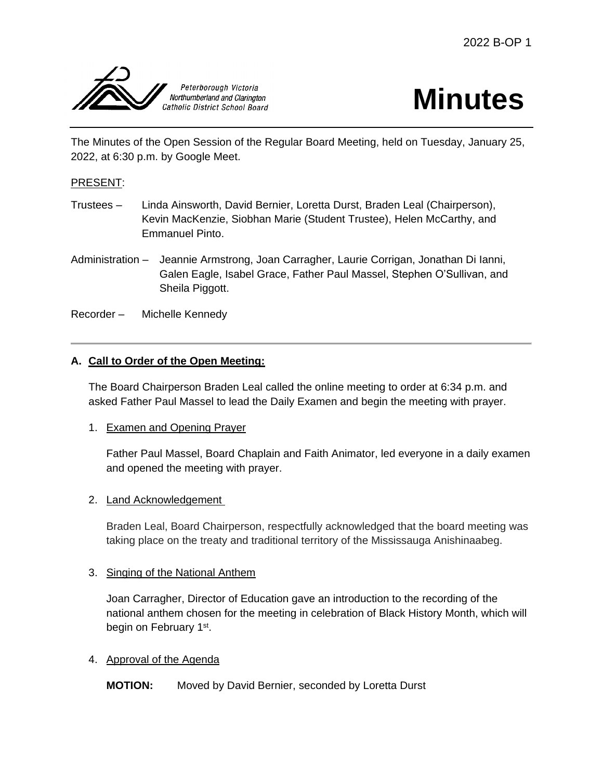

# **Minutes**

The Minutes of the Open Session of the Regular Board Meeting, held on Tuesday, January 25, 2022, at 6:30 p.m. by Google Meet.

# PRESENT:

- Trustees Linda Ainsworth, David Bernier, Loretta Durst, Braden Leal (Chairperson), Kevin MacKenzie, Siobhan Marie (Student Trustee), Helen McCarthy, and Emmanuel Pinto.
- Administration Jeannie Armstrong, Joan Carragher, Laurie Corrigan, Jonathan Di Ianni, Galen Eagle, Isabel Grace, Father Paul Massel, Stephen O'Sullivan, and Sheila Piggott.
- Recorder Michelle Kennedy

# **A. Call to Order of the Open Meeting:**

The Board Chairperson Braden Leal called the online meeting to order at 6:34 p.m. and asked Father Paul Massel to lead the Daily Examen and begin the meeting with prayer.

1. Examen and Opening Prayer

Father Paul Massel, Board Chaplain and Faith Animator, led everyone in a daily examen and opened the meeting with prayer.

#### 2. Land Acknowledgement

Braden Leal, Board Chairperson, respectfully acknowledged that the board meeting was taking place on the treaty and traditional territory of the Mississauga Anishinaabeg.

#### 3. Singing of the National Anthem

Joan Carragher, Director of Education gave an introduction to the recording of the national anthem chosen for the meeting in celebration of Black History Month, which will begin on February 1st.

#### 4. Approval of the Agenda

**MOTION:** Moved by David Bernier, seconded by Loretta Durst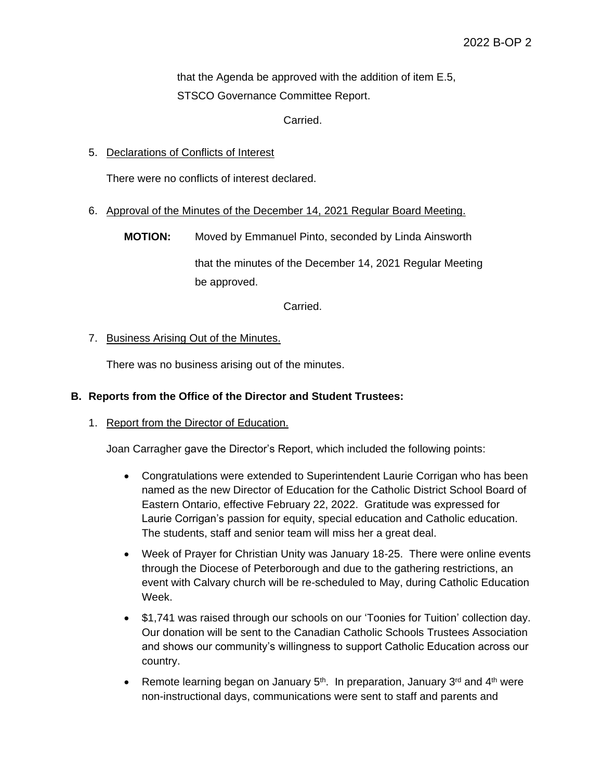that the Agenda be approved with the addition of item E.5, STSCO Governance Committee Report.

Carried.

5. Declarations of Conflicts of Interest

There were no conflicts of interest declared.

6. Approval of the Minutes of the December 14, 2021 Regular Board Meeting.

**MOTION:** Moved by Emmanuel Pinto, seconded by Linda Ainsworth that the minutes of the December 14, 2021 Regular Meeting be approved.

Carried.

7. Business Arising Out of the Minutes.

There was no business arising out of the minutes.

#### **B. Reports from the Office of the Director and Student Trustees:**

#### 1. Report from the Director of Education.

Joan Carragher gave the Director's Report, which included the following points:

- Congratulations were extended to Superintendent Laurie Corrigan who has been named as the new Director of Education for the Catholic District School Board of Eastern Ontario, effective February 22, 2022. Gratitude was expressed for Laurie Corrigan's passion for equity, special education and Catholic education. The students, staff and senior team will miss her a great deal.
- Week of Prayer for Christian Unity was January 18-25. There were online events through the Diocese of Peterborough and due to the gathering restrictions, an event with Calvary church will be re-scheduled to May, during Catholic Education Week.
- \$1,741 was raised through our schools on our 'Toonies for Tuition' collection day. Our donation will be sent to the Canadian Catholic Schools Trustees Association and shows our community's willingness to support Catholic Education across our country.
- **•** Remote learning began on January  $5<sup>th</sup>$ . In preparation, January  $3<sup>rd</sup>$  and  $4<sup>th</sup>$  were non-instructional days, communications were sent to staff and parents and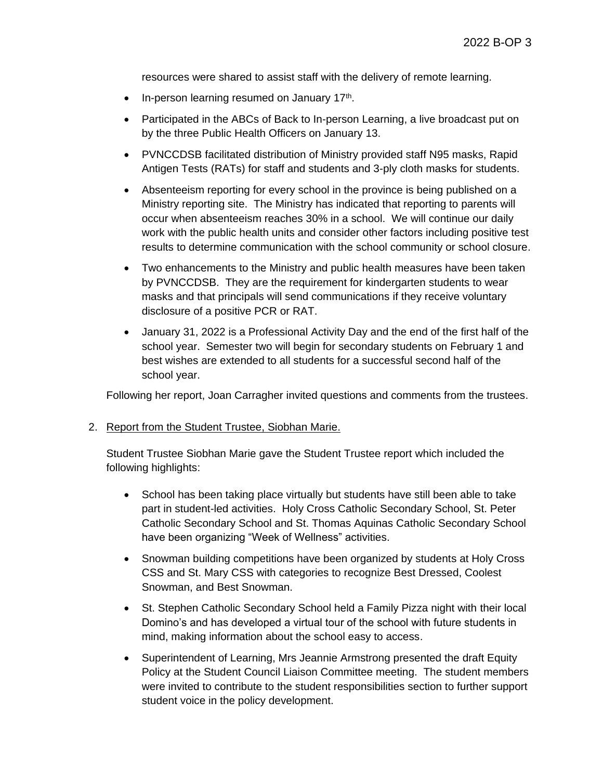resources were shared to assist staff with the delivery of remote learning.

- $\bullet$  In-person learning resumed on January 17<sup>th</sup>.
- Participated in the ABCs of Back to In-person Learning, a live broadcast put on by the three Public Health Officers on January 13.
- PVNCCDSB facilitated distribution of Ministry provided staff N95 masks, Rapid Antigen Tests (RATs) for staff and students and 3-ply cloth masks for students.
- Absenteeism reporting for every school in the province is being published on a Ministry reporting site. The Ministry has indicated that reporting to parents will occur when absenteeism reaches 30% in a school. We will continue our daily work with the public health units and consider other factors including positive test results to determine communication with the school community or school closure.
- Two enhancements to the Ministry and public health measures have been taken by PVNCCDSB. They are the requirement for kindergarten students to wear masks and that principals will send communications if they receive voluntary disclosure of a positive PCR or RAT.
- January 31, 2022 is a Professional Activity Day and the end of the first half of the school year. Semester two will begin for secondary students on February 1 and best wishes are extended to all students for a successful second half of the school year.

Following her report, Joan Carragher invited questions and comments from the trustees.

#### 2. Report from the Student Trustee, Siobhan Marie.

Student Trustee Siobhan Marie gave the Student Trustee report which included the following highlights:

- School has been taking place virtually but students have still been able to take part in student-led activities. Holy Cross Catholic Secondary School, St. Peter Catholic Secondary School and St. Thomas Aquinas Catholic Secondary School have been organizing "Week of Wellness" activities.
- Snowman building competitions have been organized by students at Holy Cross CSS and St. Mary CSS with categories to recognize Best Dressed, Coolest Snowman, and Best Snowman.
- St. Stephen Catholic Secondary School held a Family Pizza night with their local Domino's and has developed a virtual tour of the school with future students in mind, making information about the school easy to access.
- Superintendent of Learning, Mrs Jeannie Armstrong presented the draft Equity Policy at the Student Council Liaison Committee meeting. The student members were invited to contribute to the student responsibilities section to further support student voice in the policy development.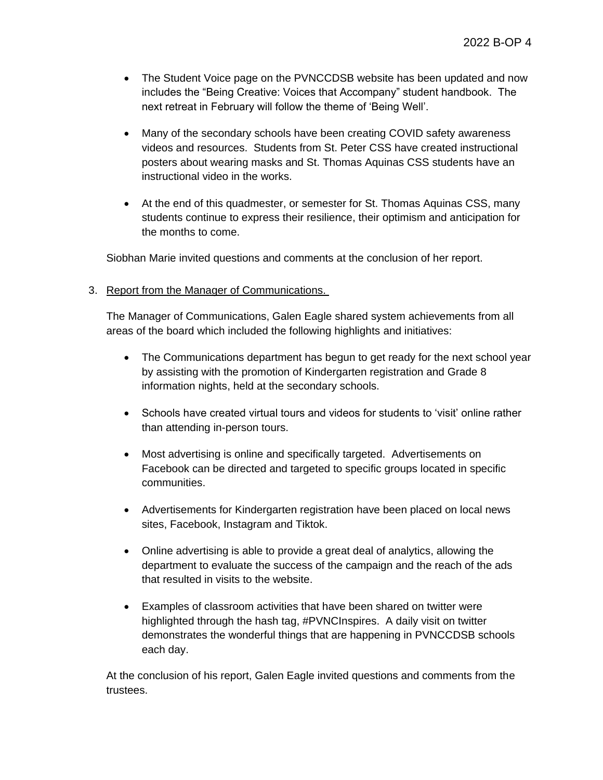- The Student Voice page on the PVNCCDSB website has been updated and now includes the "Being Creative: Voices that Accompany" student handbook. The next retreat in February will follow the theme of 'Being Well'.
- Many of the secondary schools have been creating COVID safety awareness videos and resources. Students from St. Peter CSS have created instructional posters about wearing masks and St. Thomas Aquinas CSS students have an instructional video in the works.
- At the end of this quadmester, or semester for St. Thomas Aquinas CSS, many students continue to express their resilience, their optimism and anticipation for the months to come.

Siobhan Marie invited questions and comments at the conclusion of her report.

# 3. Report from the Manager of Communications.

The Manager of Communications, Galen Eagle shared system achievements from all areas of the board which included the following highlights and initiatives:

- The Communications department has begun to get ready for the next school year by assisting with the promotion of Kindergarten registration and Grade 8 information nights, held at the secondary schools.
- Schools have created virtual tours and videos for students to 'visit' online rather than attending in-person tours.
- Most advertising is online and specifically targeted. Advertisements on Facebook can be directed and targeted to specific groups located in specific communities.
- Advertisements for Kindergarten registration have been placed on local news sites, Facebook, Instagram and Tiktok.
- Online advertising is able to provide a great deal of analytics, allowing the department to evaluate the success of the campaign and the reach of the ads that resulted in visits to the website.
- Examples of classroom activities that have been shared on twitter were highlighted through the hash tag, #PVNCInspires. A daily visit on twitter demonstrates the wonderful things that are happening in PVNCCDSB schools each day.

At the conclusion of his report, Galen Eagle invited questions and comments from the trustees.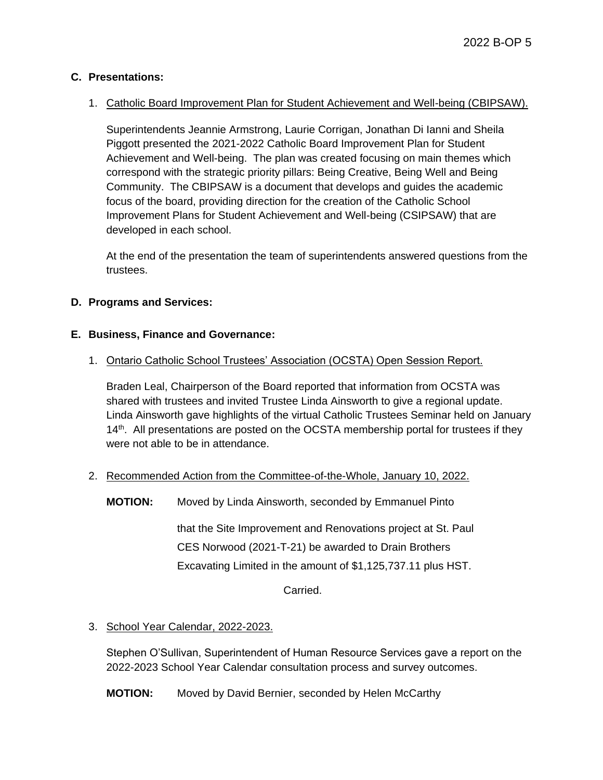# **C. Presentations:**

# 1. Catholic Board Improvement Plan for Student Achievement and Well-being (CBIPSAW).

Superintendents Jeannie Armstrong, Laurie Corrigan, Jonathan Di Ianni and Sheila Piggott presented the 2021-2022 Catholic Board Improvement Plan for Student Achievement and Well-being. The plan was created focusing on main themes which correspond with the strategic priority pillars: Being Creative, Being Well and Being Community. The CBIPSAW is a document that develops and guides the academic focus of the board, providing direction for the creation of the Catholic School Improvement Plans for Student Achievement and Well-being (CSIPSAW) that are developed in each school.

At the end of the presentation the team of superintendents answered questions from the trustees.

# **D. Programs and Services:**

#### **E. Business, Finance and Governance:**

#### 1. Ontario Catholic School Trustees' Association (OCSTA) Open Session Report.

Braden Leal, Chairperson of the Board reported that information from OCSTA was shared with trustees and invited Trustee Linda Ainsworth to give a regional update. Linda Ainsworth gave highlights of the virtual Catholic Trustees Seminar held on January 14<sup>th</sup>. All presentations are posted on the OCSTA membership portal for trustees if they were not able to be in attendance.

#### 2. Recommended Action from the Committee-of-the-Whole, January 10, 2022.

**MOTION:** Moved by Linda Ainsworth, seconded by Emmanuel Pinto

that the Site Improvement and Renovations project at St. Paul CES Norwood (2021-T-21) be awarded to Drain Brothers Excavating Limited in the amount of \$1,125,737.11 plus HST.

Carried.

# 3. School Year Calendar, 2022-2023.

Stephen O'Sullivan, Superintendent of Human Resource Services gave a report on the 2022-2023 School Year Calendar consultation process and survey outcomes.

**MOTION:** Moved by David Bernier, seconded by Helen McCarthy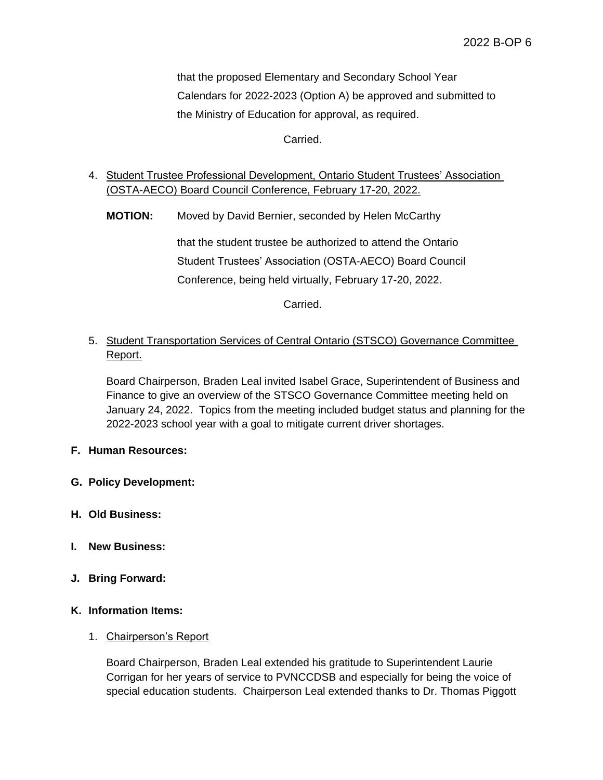that the proposed Elementary and Secondary School Year Calendars for 2022-2023 (Option A) be approved and submitted to the Ministry of Education for approval, as required.

Carried.

# 4. Student Trustee Professional Development, Ontario Student Trustees' Association (OSTA-AECO) Board Council Conference, February 17-20, 2022.

**MOTION:** Moved by David Bernier, seconded by Helen McCarthy

that the student trustee be authorized to attend the Ontario Student Trustees' Association (OSTA-AECO) Board Council Conference, being held virtually, February 17-20, 2022.

Carried.

# 5. Student Transportation Services of Central Ontario (STSCO) Governance Committee Report.

Board Chairperson, Braden Leal invited Isabel Grace, Superintendent of Business and Finance to give an overview of the STSCO Governance Committee meeting held on January 24, 2022. Topics from the meeting included budget status and planning for the 2022-2023 school year with a goal to mitigate current driver shortages.

**F. Human Resources:** 

- **G. Policy Development:**
- **H. Old Business:**
- **I. New Business:**
- **J. Bring Forward:**

#### **K. Information Items:**

#### 1. Chairperson's Report

Board Chairperson, Braden Leal extended his gratitude to Superintendent Laurie Corrigan for her years of service to PVNCCDSB and especially for being the voice of special education students. Chairperson Leal extended thanks to Dr. Thomas Piggott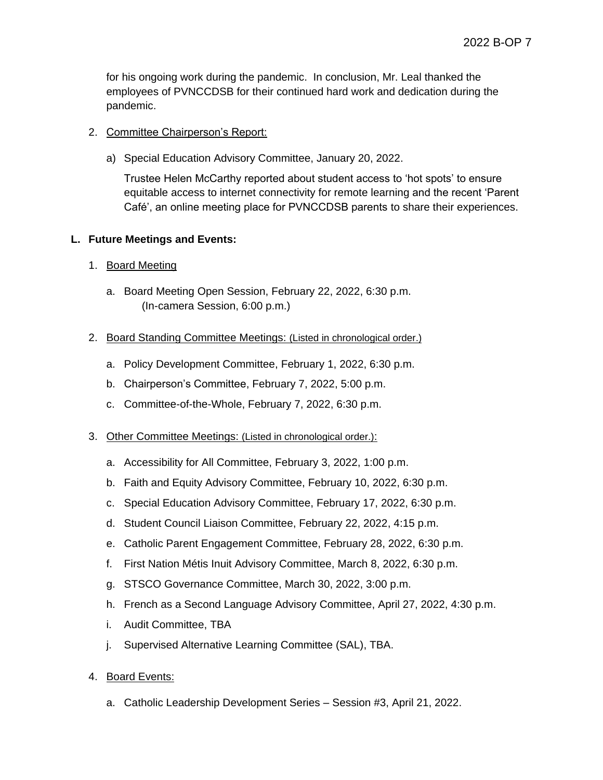for his ongoing work during the pandemic. In conclusion, Mr. Leal thanked the employees of PVNCCDSB for their continued hard work and dedication during the pandemic.

# 2. Committee Chairperson's Report:

a) Special Education Advisory Committee, January 20, 2022.

Trustee Helen McCarthy reported about student access to 'hot spots' to ensure equitable access to internet connectivity for remote learning and the recent 'Parent Café', an online meeting place for PVNCCDSB parents to share their experiences.

# **L. Future Meetings and Events:**

# 1. Board Meeting

a. Board Meeting Open Session, February 22, 2022, 6:30 p.m. (In-camera Session, 6:00 p.m.)

# 2. Board Standing Committee Meetings: (Listed in chronological order.)

- a. Policy Development Committee, February 1, 2022, 6:30 p.m.
- b. Chairperson's Committee, February 7, 2022, 5:00 p.m.
- c. Committee-of-the-Whole, February 7, 2022, 6:30 p.m.

#### 3. Other Committee Meetings: (Listed in chronological order.):

- a. Accessibility for All Committee, February 3, 2022, 1:00 p.m.
- b. Faith and Equity Advisory Committee, February 10, 2022, 6:30 p.m.
- c. Special Education Advisory Committee, February 17, 2022, 6:30 p.m.
- d. Student Council Liaison Committee, February 22, 2022, 4:15 p.m.
- e. Catholic Parent Engagement Committee, February 28, 2022, 6:30 p.m.
- f. First Nation Métis Inuit Advisory Committee, March 8, 2022, 6:30 p.m.
- g. STSCO Governance Committee, March 30, 2022, 3:00 p.m.
- h. French as a Second Language Advisory Committee, April 27, 2022, 4:30 p.m.
- i. Audit Committee, TBA
- j. Supervised Alternative Learning Committee (SAL), TBA.
- 4. Board Events:
	- a. Catholic Leadership Development Series Session #3, April 21, 2022.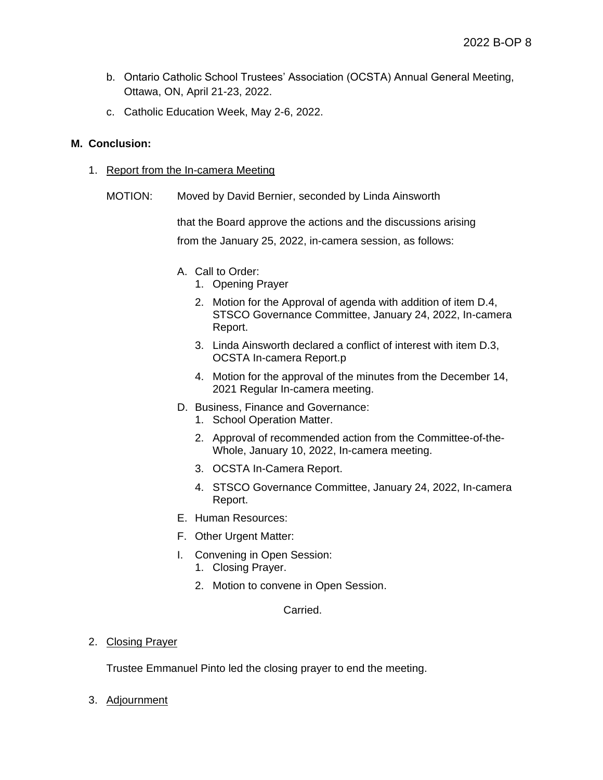- b. Ontario Catholic School Trustees' Association (OCSTA) Annual General Meeting, Ottawa, ON, April 21-23, 2022.
- c. Catholic Education Week, May 2-6, 2022.

# **M. Conclusion:**

- 1. Report from the In-camera Meeting
	- MOTION: Moved by David Bernier, seconded by Linda Ainsworth

that the Board approve the actions and the discussions arising from the January 25, 2022, in-camera session, as follows:

- A. Call to Order:
	- 1. Opening Prayer
	- 2. Motion for the Approval of agenda with addition of item D.4, STSCO Governance Committee, January 24, 2022, In-camera Report.
	- 3. Linda Ainsworth declared a conflict of interest with item D.3, OCSTA In-camera Report.p
	- 4. Motion for the approval of the minutes from the December 14, 2021 Regular In-camera meeting.
- D. Business, Finance and Governance:
	- 1. School Operation Matter.
	- 2. Approval of recommended action from the Committee-of-the-Whole, January 10, 2022, In-camera meeting.
	- 3. OCSTA In-Camera Report.
	- 4. STSCO Governance Committee, January 24, 2022, In-camera Report.
- E. Human Resources:
- F. Other Urgent Matter:
- I. Convening in Open Session:
	- 1. Closing Prayer.
	- 2. Motion to convene in Open Session.

#### Carried.

2. Closing Prayer

Trustee Emmanuel Pinto led the closing prayer to end the meeting.

3. Adjournment